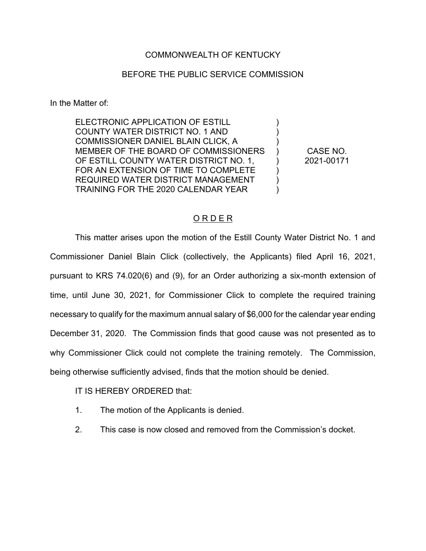## COMMONWEALTH OF KENTUCKY

## BEFORE THE PUBLIC SERVICE COMMISSION

In the Matter of:

ELECTRONIC APPLICATION OF ESTILL COUNTY WATER DISTRICT NO. 1 AND COMMISSIONER DANIEL BLAIN CLICK, A MEMBER OF THE BOARD OF COMMISSIONERS OF ESTILL COUNTY WATER DISTRICT NO. 1, FOR AN EXTENSION OF TIME TO COMPLETE REQUIRED WATER DISTRICT MANAGEMENT TRAINING FOR THE 2020 CALENDAR YEAR

CASE NO. 2021-00171

)  $\lambda$ )  $\lambda$ )  $\lambda$ )  $\lambda$ 

## O R D E R

This matter arises upon the motion of the Estill County Water District No. 1 and Commissioner Daniel Blain Click (collectively, the Applicants) filed April 16, 2021, pursuant to KRS 74.020(6) and (9), for an Order authorizing a six-month extension of time, until June 30, 2021, for Commissioner Click to complete the required training necessary to qualify for the maximum annual salary of \$6,000 for the calendar year ending December 31, 2020. The Commission finds that good cause was not presented as to why Commissioner Click could not complete the training remotely. The Commission, being otherwise sufficiently advised, finds that the motion should be denied.

IT IS HEREBY ORDERED that:

- 1. The motion of the Applicants is denied.
- 2. This case is now closed and removed from the Commission's docket.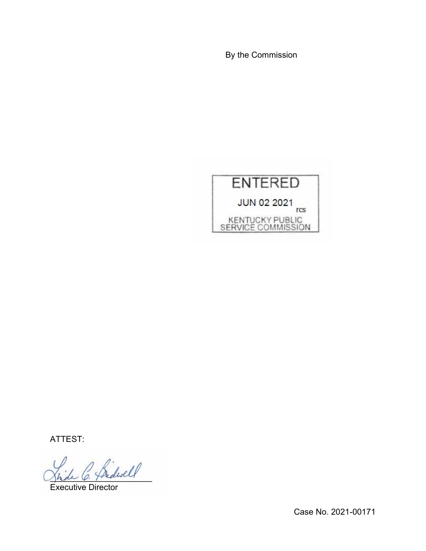By the Commission



ATTEST:

 $\frac{d}{d}\leq \frac{d}{d}$ 

Executive Director

Case No. 2021-00171